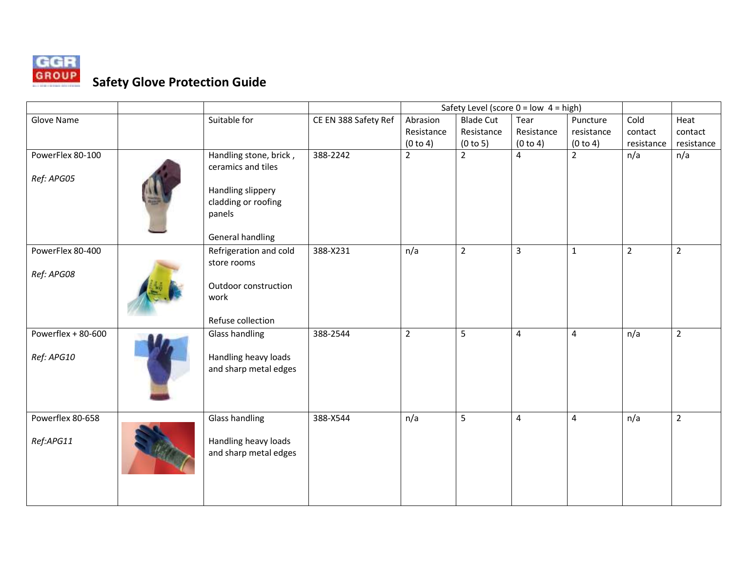

## **Safety Glove Protection Guide**

|                     |                        |                      | Safety Level (score $0 = low$ 4 = high) |                  |                         |                |                |                |
|---------------------|------------------------|----------------------|-----------------------------------------|------------------|-------------------------|----------------|----------------|----------------|
| Glove Name          | Suitable for           | CE EN 388 Safety Ref | Abrasion                                | <b>Blade Cut</b> | Tear                    | Puncture       | Cold           | Heat           |
|                     |                        |                      | Resistance                              | Resistance       | Resistance              | resistance     | contact        | contact        |
|                     |                        |                      | (0 to 4)                                | (0 to 5)         | (0 to 4)                | (0 to 4)       | resistance     | resistance     |
| PowerFlex 80-100    | Handling stone, brick, | 388-2242             | $\overline{2}$                          | $\overline{2}$   | 4                       | $\overline{2}$ | n/a            | n/a            |
|                     | ceramics and tiles     |                      |                                         |                  |                         |                |                |                |
| Ref: APG05          |                        |                      |                                         |                  |                         |                |                |                |
|                     | Handling slippery      |                      |                                         |                  |                         |                |                |                |
|                     | cladding or roofing    |                      |                                         |                  |                         |                |                |                |
|                     | panels                 |                      |                                         |                  |                         |                |                |                |
|                     |                        |                      |                                         |                  |                         |                |                |                |
|                     | General handling       |                      |                                         |                  |                         |                |                |                |
| PowerFlex 80-400    | Refrigeration and cold | 388-X231             | n/a                                     | $\overline{2}$   | $\overline{3}$          | $\mathbf{1}$   | $\overline{2}$ | $\overline{2}$ |
|                     | store rooms            |                      |                                         |                  |                         |                |                |                |
| Ref: APG08          |                        |                      |                                         |                  |                         |                |                |                |
|                     | Outdoor construction   |                      |                                         |                  |                         |                |                |                |
|                     | work                   |                      |                                         |                  |                         |                |                |                |
|                     |                        |                      |                                         |                  |                         |                |                |                |
|                     | Refuse collection      |                      |                                         |                  |                         |                |                |                |
| Powerflex $+80-600$ | <b>Glass handling</b>  | 388-2544             | $\overline{2}$                          | 5                | $\overline{4}$          | $\pmb{4}$      | n/a            | $\overline{2}$ |
|                     |                        |                      |                                         |                  |                         |                |                |                |
| Ref: APG10          | Handling heavy loads   |                      |                                         |                  |                         |                |                |                |
|                     | and sharp metal edges  |                      |                                         |                  |                         |                |                |                |
|                     |                        |                      |                                         |                  |                         |                |                |                |
|                     |                        |                      |                                         |                  |                         |                |                |                |
|                     |                        |                      |                                         |                  |                         |                |                |                |
| Powerflex 80-658    | Glass handling         | 388-X544             | n/a                                     | 5                | $\overline{\mathbf{4}}$ | $\overline{4}$ | n/a            | $\overline{2}$ |
|                     |                        |                      |                                         |                  |                         |                |                |                |
| Ref:APG11           | Handling heavy loads   |                      |                                         |                  |                         |                |                |                |
|                     | and sharp metal edges  |                      |                                         |                  |                         |                |                |                |
|                     |                        |                      |                                         |                  |                         |                |                |                |
|                     |                        |                      |                                         |                  |                         |                |                |                |
|                     |                        |                      |                                         |                  |                         |                |                |                |
|                     |                        |                      |                                         |                  |                         |                |                |                |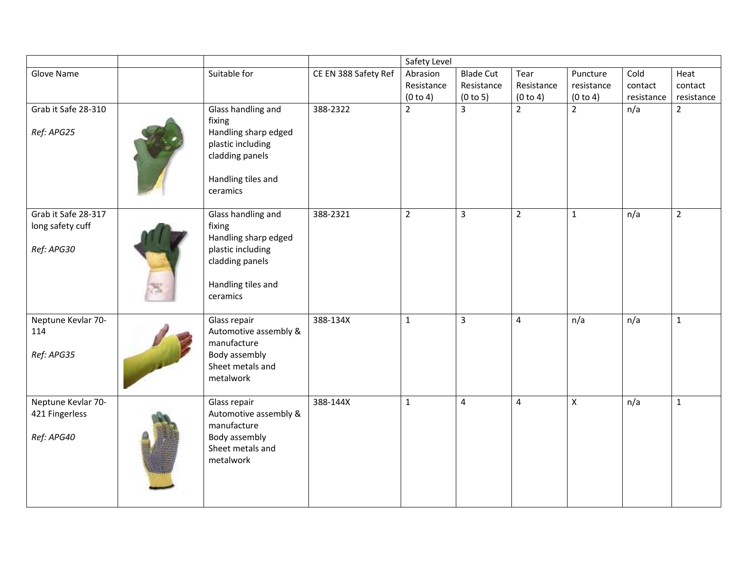|                                   |                                |                                                                                                                                |                      | Safety Level   |                  |                |                |            |                |
|-----------------------------------|--------------------------------|--------------------------------------------------------------------------------------------------------------------------------|----------------------|----------------|------------------|----------------|----------------|------------|----------------|
| Glove Name                        |                                | Suitable for                                                                                                                   | CE EN 388 Safety Ref | Abrasion       | <b>Blade Cut</b> | Tear           | Puncture       | Cold       | Heat           |
|                                   |                                |                                                                                                                                |                      | Resistance     | Resistance       | Resistance     | resistance     | contact    | contact        |
|                                   |                                |                                                                                                                                |                      | (0 to 4)       | (0 to 5)         | (0 to 4)       | (0 to 4)       | resistance | resistance     |
| Grab it Safe 28-310<br>Ref: APG25 |                                | Glass handling and<br>fixing<br>Handling sharp edged<br>plastic including<br>cladding panels<br>Handling tiles and<br>ceramics | 388-2322             | $\overline{2}$ | $\overline{3}$   | $\overline{2}$ | $\overline{2}$ | n/a        | $\overline{2}$ |
| Grab it Safe 28-317               |                                | Glass handling and                                                                                                             | 388-2321             | $\overline{2}$ | $\mathbf{3}$     | $\overline{2}$ | $\mathbf{1}$   | n/a        | $\overline{2}$ |
| long safety cuff                  |                                | fixing<br>Handling sharp edged                                                                                                 |                      |                |                  |                |                |            |                |
| Ref: APG30                        |                                | plastic including                                                                                                              |                      |                |                  |                |                |            |                |
|                                   |                                | cladding panels                                                                                                                |                      |                |                  |                |                |            |                |
|                                   | Handling tiles and<br>ceramics |                                                                                                                                |                      |                |                  |                |                |            |                |
| Neptune Kevlar 70-                |                                | Glass repair                                                                                                                   | 388-134X             | $\mathbf{1}$   | 3                | 4              | n/a            | n/a        | $\mathbf{1}$   |
| 114                               |                                | Automotive assembly &                                                                                                          |                      |                |                  |                |                |            |                |
| Ref: APG35                        |                                | manufacture<br>Body assembly                                                                                                   |                      |                |                  |                |                |            |                |
|                                   |                                | Sheet metals and                                                                                                               |                      |                |                  |                |                |            |                |
|                                   |                                | metalwork                                                                                                                      |                      |                |                  |                |                |            |                |
|                                   |                                |                                                                                                                                |                      |                |                  |                |                |            |                |
| Neptune Kevlar 70-                |                                | Glass repair                                                                                                                   | 388-144X             | $\mathbf{1}$   | $\overline{4}$   | $\overline{4}$ | $\mathsf{X}$   | n/a        | $\mathbf 1$    |
| 421 Fingerless                    |                                | Automotive assembly &<br>manufacture                                                                                           |                      |                |                  |                |                |            |                |
| Ref: APG40                        |                                | Body assembly                                                                                                                  |                      |                |                  |                |                |            |                |
|                                   |                                | Sheet metals and                                                                                                               |                      |                |                  |                |                |            |                |
|                                   |                                | metalwork                                                                                                                      |                      |                |                  |                |                |            |                |